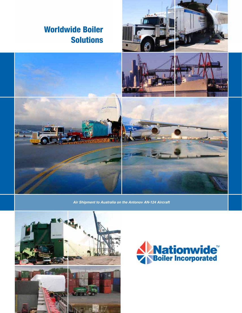

*Air Shipment to Australia on the Antonov AN-124 Aircraft*



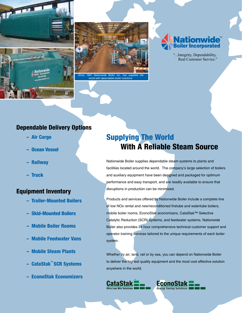



*ld with dependable boil* 



"...Integrity, Dependability, Real Customer Service."

#### Dependable Delivery Options

- Air Cargo
- Ocean Vessel
- Railway
- Truck

## Equipment Inventory

- Trailer-Mounted Boilers
- Skid-Mounted Boilers
- Mobile Boiler Rooms
- Mobile Feedwater Vans
- Mobile Steam Plants
- CataStak™ SCR Systems
- EconoStak Economizers

## Supplying The World With A Reliable Steam Source

Nationwide Boiler supplies dependable steam systems to plants and facilities located around the world. The company's large selection of boilers and auxiliary equipment have been designed and packaged for optimum performance and easy transport, and are readily available to ensure that disruptions in production can be minimized.

Products and services offered by Nationwide Boiler include a complete line of low NOx rental and new/reconditioned firetube and watertube boilers, mobile boiler rooms, EconoStak economizers, CataStak™ Selective Catalytic Reduction (SCR) systems, and feedwater systems. Nationwide Boiler also provides 24 hour comprehensive technical customer support and operator training services tailored to the unique requirements of each boiler system.

Whether by air, land, rail or by sea, you can depend on Nationwide Boiler to deliver the highest quality equipment and the most cost effective solution anywhere in the world.



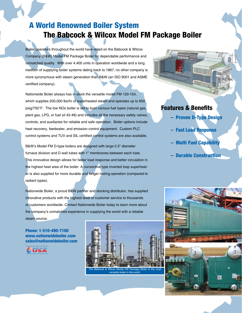## A World Renowned Boiler System The Babcock & Wilcox Model FM Package Boiler

Boiler operators throughout the world have relied on the Babcock & Wilcox Company (B&W) Model FM Package Boiler for dependable performance and unmatched quality. With over 4,400 units in operation worldwide and a long tradition of supplying boiler systems dating back to 1867, no other company is more synonymous with steam generation than B&W (an ISO 9001 and ASME certified company).

Nationwide Boiler always has in stock the versatile model FM 120-124, which supplies 200,000 lbs/hr of superheated steam and operates up to 650 psig/750°F. The low NOx boiler is set to burn various fuel types (natural gas, plant gas, LPG, or fuel oil #2-#6) and includes all the necessary safety valves, controls, and auxiliaries for reliable and safe operation. Boiler options include heat recovery, feedwater, and emission control equipment. Custom PLC control systems and TUV and SIL certified control systems are also available.

B&W's Model FM D-type boilers are designed with large 2.5" diameter furnace division and D wall tubes with 1" membranes between each tube. This innovative design allows for faster load response and better circulation in the highest heat area of the boiler. A convective type inverted loop superheater is also supplied for more durable and longer lasting operation (compared to radiant types).

Nationwide Boiler, a proud B&W partner and stocking distributor, has supplied innovative products with the highest level of customer service to thousands of customers worldwide. Contact Nationwide Boiler today to learn more about the company's unmatched experience in supplying the world with a reliable steam source.

Phone: 1-510-490-7100 www.nationwideboiler.com sales@nationwideboiler.com

MADE IN THE MADE IN THE



*versatile boiler in the world.*



## Features & Benefits

- Proven D-Type Design
- Fast Load Response
- **Multi Fuel Capability**
- Durable Construction